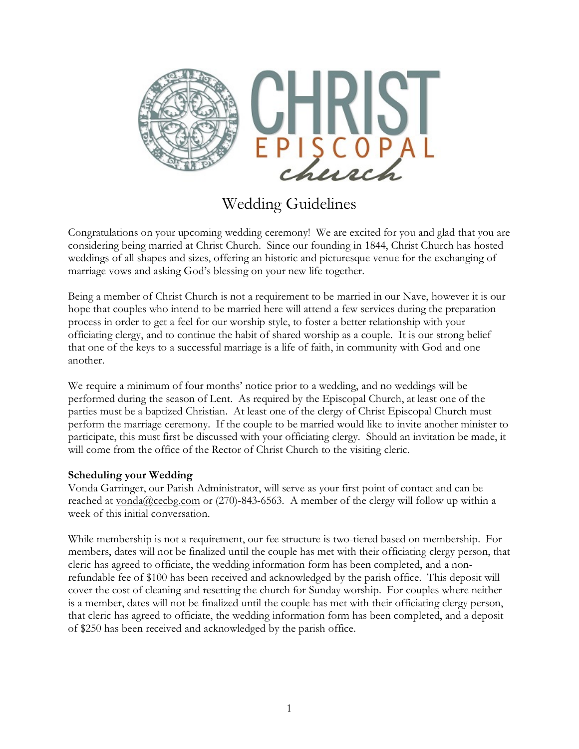

# Wedding Guidelines

Congratulations on your upcoming wedding ceremony! We are excited for you and glad that you are considering being married at Christ Church. Since our founding in 1844, Christ Church has hosted weddings of all shapes and sizes, offering an historic and picturesque venue for the exchanging of marriage vows and asking God's blessing on your new life together.

Being a member of Christ Church is not a requirement to be married in our Nave, however it is our hope that couples who intend to be married here will attend a few services during the preparation process in order to get a feel for our worship style, to foster a better relationship with your officiating clergy, and to continue the habit of shared worship as a couple. It is our strong belief that one of the keys to a successful marriage is a life of faith, in community with God and one another.

We require a minimum of four months' notice prior to a wedding, and no weddings will be performed during the season of Lent. As required by the Episcopal Church, at least one of the parties must be a baptized Christian. At least one of the clergy of Christ Episcopal Church must perform the marriage ceremony. If the couple to be married would like to invite another minister to participate, this must first be discussed with your officiating clergy. Should an invitation be made, it will come from the office of the Rector of Christ Church to the visiting cleric.

# **Scheduling your Wedding**

Vonda Garringer, our Parish Administrator, will serve as your first point of contact and can be reached at  $\underline{vonda@cecbg.com}$  or (270)-843-6563. A member of the clergy will follow up within a week of this initial conversation.

While membership is not a requirement, our fee structure is two-tiered based on membership. For members, dates will not be finalized until the couple has met with their officiating clergy person, that cleric has agreed to officiate, the wedding information form has been completed, and a nonrefundable fee of \$100 has been received and acknowledged by the parish office. This deposit will cover the cost of cleaning and resetting the church for Sunday worship. For couples where neither is a member, dates will not be finalized until the couple has met with their officiating clergy person, that cleric has agreed to officiate, the wedding information form has been completed, and a deposit of \$250 has been received and acknowledged by the parish office.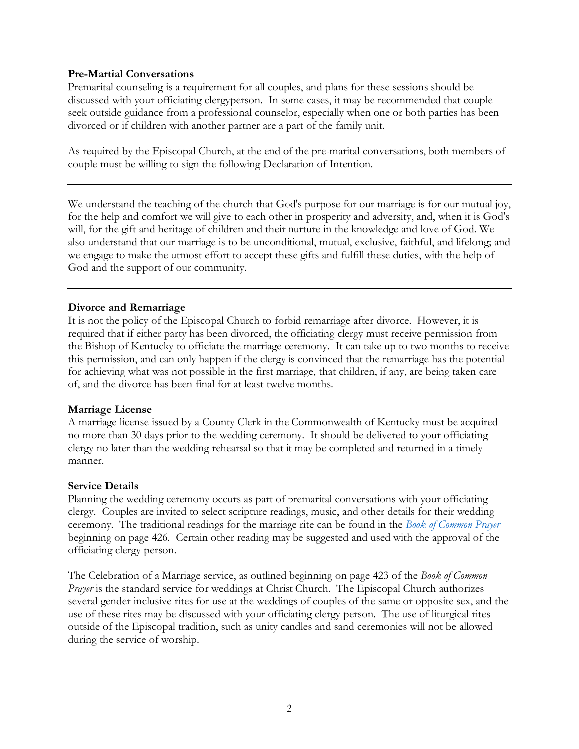#### **Pre-Martial Conversations**

Premarital counseling is a requirement for all couples, and plans for these sessions should be discussed with your officiating clergyperson. In some cases, it may be recommended that couple seek outside guidance from a professional counselor, especially when one or both parties has been divorced or if children with another partner are a part of the family unit.

As required by the Episcopal Church, at the end of the pre-marital conversations, both members of couple must be willing to sign the following Declaration of Intention.

We understand the teaching of the church that God's purpose for our marriage is for our mutual joy, for the help and comfort we will give to each other in prosperity and adversity, and, when it is God's will, for the gift and heritage of children and their nurture in the knowledge and love of God. We also understand that our marriage is to be unconditional, mutual, exclusive, faithful, and lifelong; and we engage to make the utmost effort to accept these gifts and fulfill these duties, with the help of God and the support of our community.

## **Divorce and Remarriage**

It is not the policy of the Episcopal Church to forbid remarriage after divorce. However, it is required that if either party has been divorced, the officiating clergy must receive permission from the Bishop of Kentucky to officiate the marriage ceremony. It can take up to two months to receive this permission, and can only happen if the clergy is convinced that the remarriage has the potential for achieving what was not possible in the first marriage, that children, if any, are being taken care of, and the divorce has been final for at least twelve months.

#### **Marriage License**

A marriage license issued by a County Clerk in the Commonwealth of Kentucky must be acquired no more than 30 days prior to the wedding ceremony. It should be delivered to your officiating clergy no later than the wedding rehearsal so that it may be completed and returned in a timely manner.

#### **Service Details**

Planning the wedding ceremony occurs as part of premarital conversations with your officiating clergy. Couples are invited to select scripture readings, music, and other details for their wedding ceremony. The traditional readings for the marriage rite can be found in the *Book of Common Prayer* beginning on page 426. Certain other reading may be suggested and used with the approval of the officiating clergy person.

The Celebration of a Marriage service, as outlined beginning on page 423 of the *Book of Common Prayer* is the standard service for weddings at Christ Church. The Episcopal Church authorizes several gender inclusive rites for use at the weddings of couples of the same or opposite sex, and the use of these rites may be discussed with your officiating clergy person. The use of liturgical rites outside of the Episcopal tradition, such as unity candles and sand ceremonies will not be allowed during the service of worship.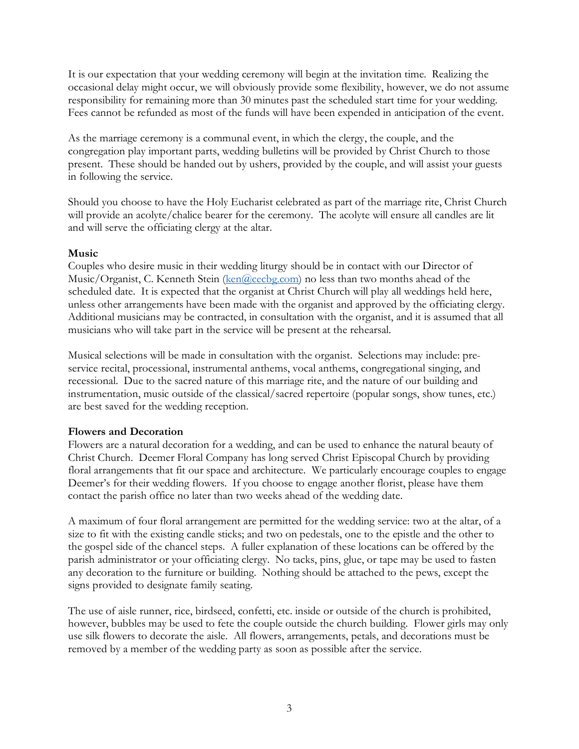It is our expectation that your wedding ceremony will begin at the invitation time. Realizing the occasional delay might occur, we will obviously provide some flexibility, however, we do not assume responsibility for remaining more than 30 minutes past the scheduled start time for your wedding. Fees cannot be refunded as most of the funds will have been expended in anticipation of the event.

As the marriage ceremony is a communal event, in which the clergy, the couple, and the congregation play important parts, wedding bulletins will be provided by Christ Church to those present. These should be handed out by ushers, provided by the couple, and will assist your guests in following the service.

Should you choose to have the Holy Eucharist celebrated as part of the marriage rite, Christ Church will provide an acolyte/chalice bearer for the ceremony. The acolyte will ensure all candles are lit and will serve the officiating clergy at the altar.

#### **Music**

Couples who desire music in their wedding liturgy should be in contact with our Director of Music/Organist, C. Kenneth Stein (ken@cecbg.com) no less than two months ahead of the scheduled date. It is expected that the organist at Christ Church will play all weddings held here, unless other arrangements have been made with the organist and approved by the officiating clergy. Additional musicians may be contracted, in consultation with the organist, and it is assumed that all musicians who will take part in the service will be present at the rehearsal.

Musical selections will be made in consultation with the organist. Selections may include: preservice recital, processional, instrumental anthems, vocal anthems, congregational singing, and recessional. Due to the sacred nature of this marriage rite, and the nature of our building and instrumentation, music outside of the classical/sacred repertoire (popular songs, show tunes, etc.) are best saved for the wedding reception.

## **Flowers and Decoration**

Flowers are a natural decoration for a wedding, and can be used to enhance the natural beauty of Christ Church. Deemer Floral Company has long served Christ Episcopal Church by providing floral arrangements that fit our space and architecture. We particularly encourage couples to engage Deemer's for their wedding flowers. If you choose to engage another florist, please have them contact the parish office no later than two weeks ahead of the wedding date.

A maximum of four floral arrangement are permitted for the wedding service: two at the altar, of a size to fit with the existing candle sticks; and two on pedestals, one to the epistle and the other to the gospel side of the chancel steps. A fuller explanation of these locations can be offered by the parish administrator or your officiating clergy. No tacks, pins, glue, or tape may be used to fasten any decoration to the furniture or building. Nothing should be attached to the pews, except the signs provided to designate family seating.

The use of aisle runner, rice, birdseed, confetti, etc. inside or outside of the church is prohibited, however, bubbles may be used to fete the couple outside the church building. Flower girls may only use silk flowers to decorate the aisle. All flowers, arrangements, petals, and decorations must be removed by a member of the wedding party as soon as possible after the service.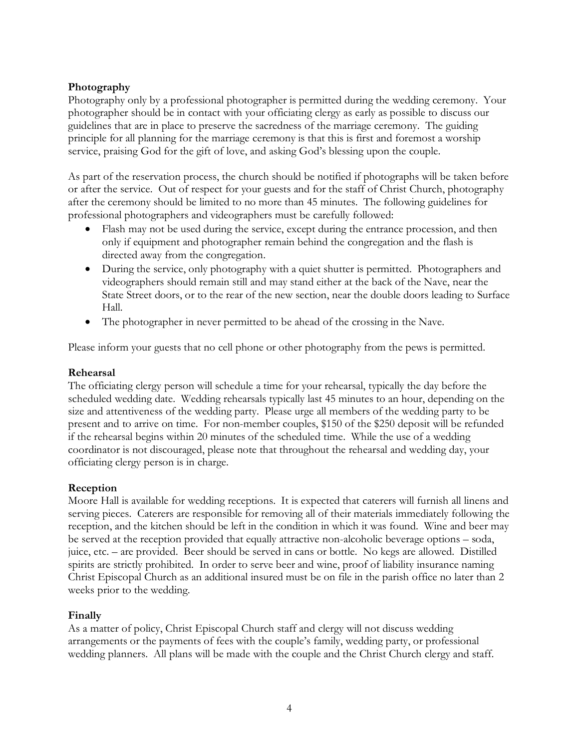# **Photography**

Photography only by a professional photographer is permitted during the wedding ceremony. Your photographer should be in contact with your officiating clergy as early as possible to discuss our guidelines that are in place to preserve the sacredness of the marriage ceremony. The guiding principle for all planning for the marriage ceremony is that this is first and foremost a worship service, praising God for the gift of love, and asking God's blessing upon the couple.

As part of the reservation process, the church should be notified if photographs will be taken before or after the service. Out of respect for your guests and for the staff of Christ Church, photography after the ceremony should be limited to no more than 45 minutes. The following guidelines for professional photographers and videographers must be carefully followed:

- Flash may not be used during the service, except during the entrance procession, and then only if equipment and photographer remain behind the congregation and the flash is directed away from the congregation.
- During the service, only photography with a quiet shutter is permitted. Photographers and videographers should remain still and may stand either at the back of the Nave, near the State Street doors, or to the rear of the new section, near the double doors leading to Surface Hall.
- The photographer in never permitted to be ahead of the crossing in the Nave.

Please inform your guests that no cell phone or other photography from the pews is permitted.

### **Rehearsal**

The officiating clergy person will schedule a time for your rehearsal, typically the day before the scheduled wedding date. Wedding rehearsals typically last 45 minutes to an hour, depending on the size and attentiveness of the wedding party. Please urge all members of the wedding party to be present and to arrive on time. For non-member couples, \$150 of the \$250 deposit will be refunded if the rehearsal begins within 20 minutes of the scheduled time. While the use of a wedding coordinator is not discouraged, please note that throughout the rehearsal and wedding day, your officiating clergy person is in charge.

#### **Reception**

Moore Hall is available for wedding receptions. It is expected that caterers will furnish all linens and serving pieces. Caterers are responsible for removing all of their materials immediately following the reception, and the kitchen should be left in the condition in which it was found. Wine and beer may be served at the reception provided that equally attractive non-alcoholic beverage options – soda, juice, etc. – are provided. Beer should be served in cans or bottle. No kegs are allowed. Distilled spirits are strictly prohibited. In order to serve beer and wine, proof of liability insurance naming Christ Episcopal Church as an additional insured must be on file in the parish office no later than 2 weeks prior to the wedding.

## **Finally**

As a matter of policy, Christ Episcopal Church staff and clergy will not discuss wedding arrangements or the payments of fees with the couple's family, wedding party, or professional wedding planners. All plans will be made with the couple and the Christ Church clergy and staff.